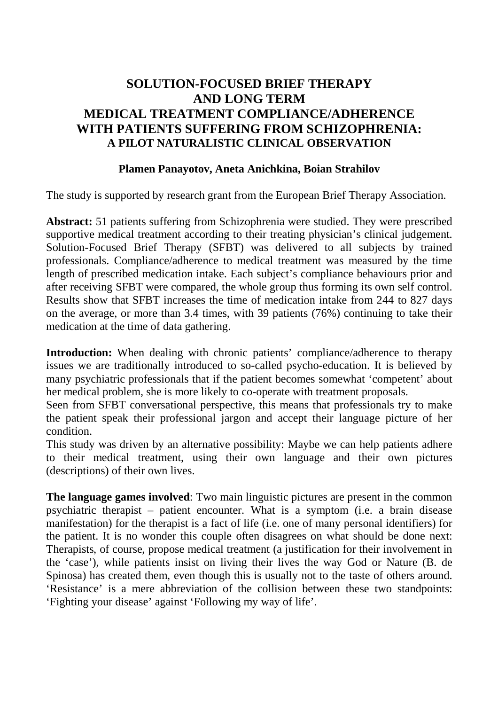# **SOLUTION-FOCUSED BRIEF THERAPY AND LONG TERM MEDICAL TREATMENT COMPLIANCE/ADHERENCE WITH PATIENTS SUFFERING FROM SCHIZOPHRENIA: A PILOT NATURALISTIC CLINICAL OBSERVATION**

#### **Plamen Panayotov, Aneta Anichkina, Boian Strahilov**

The study is supported by research grant from the European Brief Therapy Association.

**Abstract:** 51 patients suffering from Schizophrenia were studied. They were prescribed supportive medical treatment according to their treating physician's clinical judgement. Solution-Focused Brief Therapy (SFBT) was delivered to all subjects by trained professionals. Compliance/adherence to medical treatment was measured by the time length of prescribed medication intake. Each subject's compliance behaviours prior and after receiving SFBT were compared, the whole group thus forming its own self control. Results show that SFBT increases the time of medication intake from 244 to 827 days on the average, or more than 3.4 times, with 39 patients (76%) continuing to take their medication at the time of data gathering.

**Introduction:** When dealing with chronic patients' compliance/adherence to therapy issues we are traditionally introduced to so-called psycho-education. It is believed by many psychiatric professionals that if the patient becomes somewhat 'competent' about her medical problem, she is more likely to co-operate with treatment proposals.

Seen from SFBT conversational perspective, this means that professionals try to make the patient speak their professional jargon and accept their language picture of her condition.

This study was driven by an alternative possibility: Maybe we can help patients adhere to their medical treatment, using their own language and their own pictures (descriptions) of their own lives.

**The language games involved**: Two main linguistic pictures are present in the common psychiatric therapist – patient encounter. What is a symptom (i.e. a brain disease manifestation) for the therapist is a fact of life (i.e. one of many personal identifiers) for the patient. It is no wonder this couple often disagrees on what should be done next: Therapists, of course, propose medical treatment (a justification for their involvement in the 'case'), while patients insist on living their lives the way God or Nature (B. de Spinosa) has created them, even though this is usually not to the taste of others around. 'Resistance' is a mere abbreviation of the collision between these two standpoints: 'Fighting your disease' against 'Following my way of life'.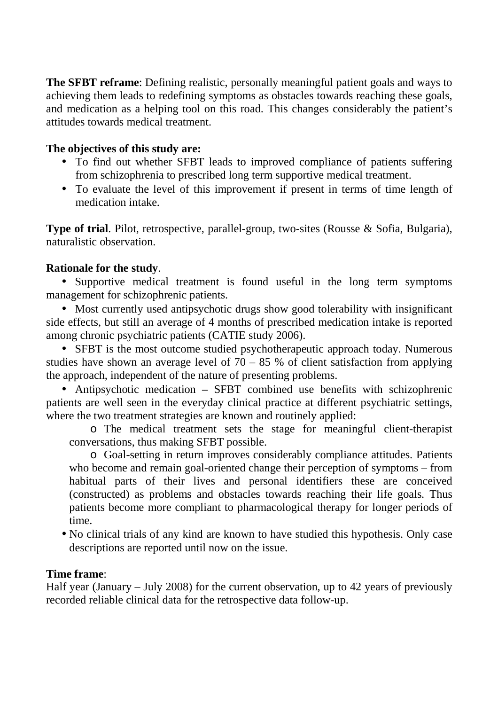**The SFBT reframe**: Defining realistic, personally meaningful patient goals and ways to achieving them leads to redefining symptoms as obstacles towards reaching these goals, and medication as a helping tool on this road. This changes considerably the patient's attitudes towards medical treatment.

#### **The objectives of this study are:**

- To find out whether SFBT leads to improved compliance of patients suffering from schizophrenia to prescribed long term supportive medical treatment.
- To evaluate the level of this improvement if present in terms of time length of medication intake.

**Type of trial**. Pilot, retrospective, parallel-group, two-sites (Rousse & Sofia, Bulgaria), naturalistic observation.

## **Rationale for the study**.

• Supportive medical treatment is found useful in the long term symptoms management for schizophrenic patients.

• Most currently used antipsychotic drugs show good tolerability with insignificant side effects, but still an average of 4 months of prescribed medication intake is reported among chronic psychiatric patients (CATIE study 2006).

• SFBT is the most outcome studied psychotherapeutic approach today. Numerous studies have shown an average level of  $70 - 85$  % of client satisfaction from applying the approach, independent of the nature of presenting problems.

• Antipsychotic medication – SFBT combined use benefits with schizophrenic patients are well seen in the everyday clinical practice at different psychiatric settings, where the two treatment strategies are known and routinely applied:

o The medical treatment sets the stage for meaningful client-therapist conversations, thus making SFBT possible.

o Goal-setting in return improves considerably compliance attitudes. Patients who become and remain goal-oriented change their perception of symptoms – from habitual parts of their lives and personal identifiers these are conceived (constructed) as problems and obstacles towards reaching their life goals. Thus patients become more compliant to pharmacological therapy for longer periods of time.

• No clinical trials of any kind are known to have studied this hypothesis. Only case descriptions are reported until now on the issue.

#### **Time frame**:

Half year (January – July 2008) for the current observation, up to 42 years of previously recorded reliable clinical data for the retrospective data follow-up.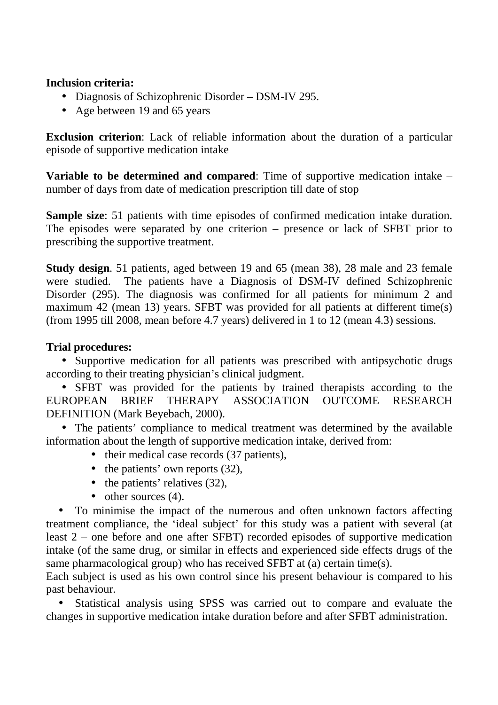#### **Inclusion criteria:**

- Diagnosis of Schizophrenic Disorder DSM-IV 295.
- Age between 19 and 65 years

**Exclusion criterion**: Lack of reliable information about the duration of a particular episode of supportive medication intake

**Variable to be determined and compared**: Time of supportive medication intake – number of days from date of medication prescription till date of stop

**Sample size**: 51 patients with time episodes of confirmed medication intake duration. The episodes were separated by one criterion – presence or lack of SFBT prior to prescribing the supportive treatment.

**Study design**. 51 patients, aged between 19 and 65 (mean 38), 28 male and 23 female were studied. The patients have a Diagnosis of DSM-IV defined Schizophrenic Disorder (295). The diagnosis was confirmed for all patients for minimum 2 and maximum 42 (mean 13) years. SFBT was provided for all patients at different time(s) (from 1995 till 2008, mean before 4.7 years) delivered in 1 to 12 (mean 4.3) sessions.

## **Trial procedures:**

• Supportive medication for all patients was prescribed with antipsychotic drugs according to their treating physician's clinical judgment.

• SFBT was provided for the patients by trained therapists according to the EUROPEAN BRIEF THERAPY ASSOCIATION OUTCOME RESEARCH DEFINITION (Mark Beyebach, 2000).

• The patients' compliance to medical treatment was determined by the available information about the length of supportive medication intake, derived from:

- their medical case records (37 patients),
- the patients' own reports (32),
- the patients' relatives (32),
- other sources (4).

• To minimise the impact of the numerous and often unknown factors affecting treatment compliance, the 'ideal subject' for this study was a patient with several (at least 2 – one before and one after SFBT) recorded episodes of supportive medication intake (of the same drug, or similar in effects and experienced side effects drugs of the same pharmacological group) who has received SFBT at (a) certain time(s).

Each subject is used as his own control since his present behaviour is compared to his past behaviour.

• Statistical analysis using SPSS was carried out to compare and evaluate the changes in supportive medication intake duration before and after SFBT administration.